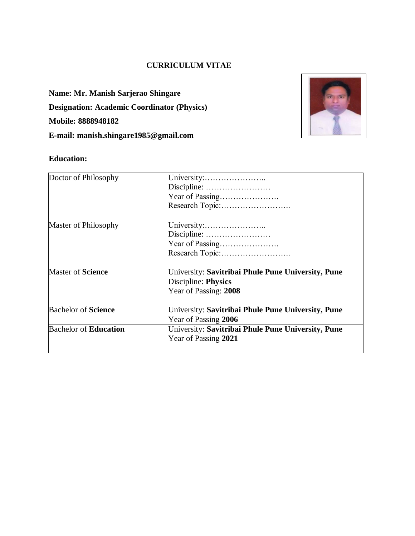### **CURRICULUM VITAE**

**Name: Mr. Manish Sarjerao Shingare Designation: Academic Coordinator (Physics) Mobile: 8888948182 E-mail: manish.shingare1985@gmail.com**



## **Education:**

| Doctor of Philosophy         | University:<br>Discipline:<br>Year of Passing                                                      |  |  |
|------------------------------|----------------------------------------------------------------------------------------------------|--|--|
|                              | Research Topic:                                                                                    |  |  |
| Master of Philosophy         | University:<br>Discipline:<br>Year of Passing                                                      |  |  |
| <b>Master of Science</b>     | University: Savitribai Phule Pune University, Pune<br>Discipline: Physics<br>Year of Passing: 2008 |  |  |
| <b>Bachelor of Science</b>   | University: Savitribai Phule Pune University, Pune<br>Year of Passing 2006                         |  |  |
| <b>Bachelor of Education</b> | University: Savitribai Phule Pune University, Pune<br>Year of Passing 2021                         |  |  |